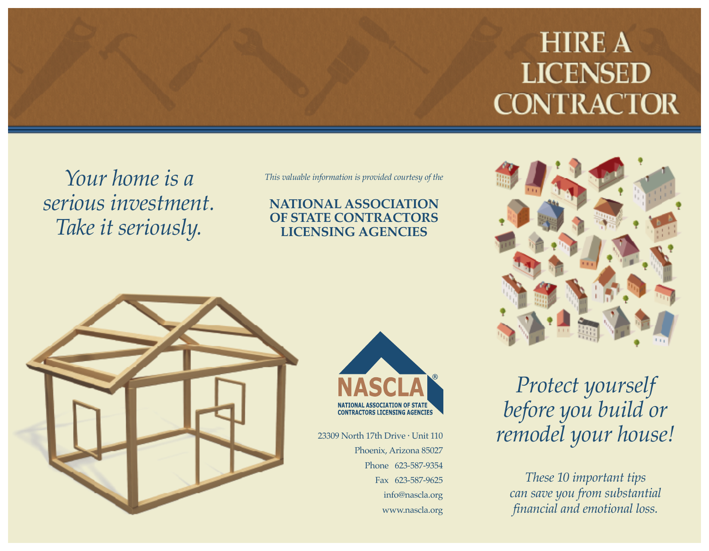# **HIRE A LICENSED CONTRACTOR**

*Your home is a serious investment. Take it seriously.*

*This valuable information is provided courtesy of the*

#### **NATIONAL ASSOCIATION OF STATE CONTRACTORS LICENSING AGENCIES**





23309 North 17th Drive • Unit 110 Phoenix, Arizona 85027 Phone 623-587-9354 Fax 623-587-9625 info@nascla.org www.nascla.org



# *Protect yourself before you build or remodel your house!*

*These 10 important tips can save you from substantial financial and emotional loss.*